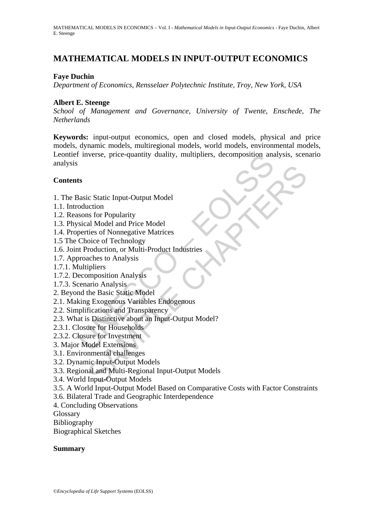# **MATHEMATICAL MODELS IN INPUT-OUTPUT ECONOMICS**

### **Faye Duchin**

*Department of Economics, Rensselaer Polytechnic Institute, Troy, New York, USA* 

### **Albert E. Steenge**

*School of Management and Governance, University of Twente, Enschede, The Netherlands*

Finderson<br>
Sasic Static Input-Output Model<br>
Sasic Static Input-Output Model<br>
Sasic Static Input-Output Model<br>
Coluction<br>
Static Input-Output Model<br>
Sasic Static Input-Output Model<br>
perties of Nonnegative Matrices<br>
Choice o **Keywords:** input-output economics, open and closed models, physical and price models, dynamic models, multiregional models, world models, environmental models, Leontief inverse, price-quantity duality, multipliers, decomposition analysis, scenario analysis

### **Contents**

- 1. The Basic Static Input-Output Model
- 1.1. Introduction
- 1.2. Reasons for Popularity
- 1.3. Physical Model and Price Model
- 1.4. Properties of Nonnegative Matrices
- 1.5 The Choice of Technology
- 1.6. Joint Production, or Multi-Product Industries
- 1.7. Approaches to Analysis
- 1.7.1. Multipliers
- 1.7.2. Decomposition Analysis
- 1.7.3. Scenario Analysis
- 2. Beyond the Basic Static Model
- 2.1. Making Exogenous Variables Endogenous
- 2.2. Simplifications and Transparency
- 2.3. What is Distinctive about an Input-Output Model?
- 2.3.1. Closure for Households
- 2.3.2. Closure for Investment
- 3. Major Model Extensions
- 3.1. Environmental challenges
- 3.2. Dynamic Input-Output Models
- ic Static Input-Output Model<br>
an Model and Price Model<br>
an Model and Price Model<br>
reis of Nomegative Matrices<br>
toice of Technology<br>
rroduction, or Multi-Product Indústries<br>
aches to Analysis<br>
reipiers<br>
mpposition Analysis<br> 3.3. Regional and Multi-Regional Input-Output Models
- 3.4. World Input-Output Models
- 3.5. A World Input-Output Model Based on Comparative Costs with Factor Constraints
- 3.6. Bilateral Trade and Geographic Interdependence
- 4. Concluding Observations
- Glossary
- Bibliography

Biographical Sketches

#### **Summary**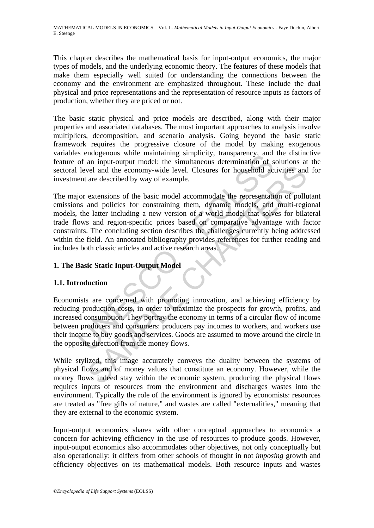This chapter describes the mathematical basis for input-output economics, the major types of models, and the underlying economic theory. The features of these models that make them especially well suited for understanding the connections between the economy and the environment are emphasized throughout. These include the dual physical and price representations and the representation of resource inputs as factors of production, whether they are priced or not.

The basic static physical and price models are described, along with their major properties and associated databases. The most important approaches to analysis involve multipliers, decomposition, and scenario analysis. Going beyond the basic static framework requires the progressive closure of the model by making exogenous variables endogenous while maintaining simplicity, transparency, and the distinctive feature of an input-output model: the simultaneous determination of solutions at the sectoral level and the economy-wide level. Closures for household activities and for investment are described by way of example.

S' encogenous with inationalizing sumptions where the main and of a in input-output model: the simultaneous determination of s level and the economy-wide level. Closures for household acceleration and policies for constrai well and the economy-wide level. Closures for household activities and<br>are described by way of example.<br>extensions of the basic model accommodate the representation of pollu<br>and policies for constraining them, dynamic mode The major extensions of the basic model accommodate the representation of pollutant emissions and policies for constraining them, dynamic models, and multi-regional models, the latter including a new version of a world model that solves for bilateral trade flows and region-specific prices based on comparative advantage with factor constraints. The concluding section describes the challenges currently being addressed within the field. An annotated bibliography provides references for further reading and includes both classic articles and active research areas.

## **1. The Basic Static Input-Output Model**

## **1.1. Introduction**

Economists are concerned with promoting innovation, and achieving efficiency by reducing production costs, in order to maximize the prospects for growth, profits, and increased consumption. They portray the economy in terms of a circular flow of income between producers and consumers: producers pay incomes to workers, and workers use their income to buy goods and services. Goods are assumed to move around the circle in the opposite direction from the money flows.

While stylized, this image accurately conveys the duality between the systems of physical flows and of money values that constitute an economy. However, while the money flows indeed stay within the economic system, producing the physical flows requires inputs of resources from the environment and discharges wastes into the environment. Typically the role of the environment is ignored by economists: resources are treated as "free gifts of nature," and wastes are called "externalities," meaning that they are external to the economic system.

Input-output economics shares with other conceptual approaches to economics a concern for achieving efficiency in the use of resources to produce goods. However, input-output economics also accommodates other objectives, not only conceptually but also operationally: it differs from other schools of thought in not *imposing* growth and efficiency objectives on its mathematical models. Both resource inputs and wastes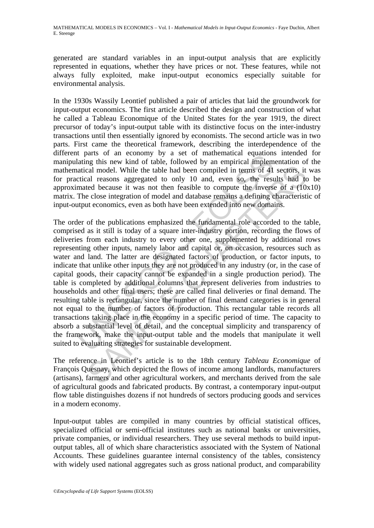generated are standard variables in an input-output analysis that are explicitly represented in equations, whether they have prices or not. These features, while not always fully exploited, make input-output economics especially suitable for environmental analysis.

In the 1930s Wassily Leontief published a pair of articles that laid the groundwork for input-output economics. The first article described the design and construction of what he called a Tableau Economique of the United States for the year 1919, the direct precursor of today's input-output table with its distinctive focus on the inter-industry transactions until then essentially ignored by economists. The second article was in two parts. First came the theoretical framework, describing the interdependence of the different parts of an economy by a set of mathematical equations intended for manipulating this new kind of table, followed by an empirical implementation of the mathematical model. While the table had been compiled in terms of 41 sectors, it was for practical reasons aggregated to only 10 and, even so, the results had to be approximated because it was not then feasible to compute the inverse of a (10x10) matrix. The close integration of model and database remains a defining characteristic of input-output economics, even as both have been extended into new domains.

*Pats* or an economy by a set or maturination equations that hat ing this new kind of table, followed by an empirical implem attical reasons aggregated to only 10 and, even so, the rest mated because it was not then feasib and model. While the table had been compiled in terms of 41 sectors, it all reasons aggregated to only 10 and, even so, the results had to electors, it all reasons aggregated to only 10 and, even so, the results had to el The order of the publications emphasized the fundamental role accorded to the table, comprised as it still is today of a square inter-industry portion, recording the flows of deliveries from each industry to every other one, supplemented by additional rows representing other inputs, namely labor and capital or, on occasion, resources such as water and land. The latter are designated factors of production, or factor inputs, to indicate that unlike other inputs they are not produced in any industry (or, in the case of capital goods, their capacity cannot be expanded in a single production period). The table is completed by additional columns that represent deliveries from industries to households and other final users; these are called final deliveries or final demand. The resulting table is rectangular, since the number of final demand categories is in general not equal to the number of factors of production. This rectangular table records all transactions taking place in the economy in a specific period of time. The capacity to absorb a substantial level of detail, and the conceptual simplicity and transparency of the framework, make the input-output table and the models that manipulate it well suited to evaluating strategies for sustainable development.

The reference in Leontief's article is to the 18th century *Tableau Economique* of François Quesnay, which depicted the flows of income among landlords, manufacturers (artisans), farmers and other agricultural workers, and merchants derived from the sale of agricultural goods and fabricated products. By contrast, a contemporary input-output flow table distinguishes dozens if not hundreds of sectors producing goods and services in a modern economy.

Input-output tables are compiled in many countries by official statistical offices, specialized official or semi-official institutes such as national banks or universities, private companies, or individual researchers. They use several methods to build inputoutput tables, all of which share characteristics associated with the System of National Accounts. These guidelines guarantee internal consistency of the tables, consistency with widely used national aggregates such as gross national product, and comparability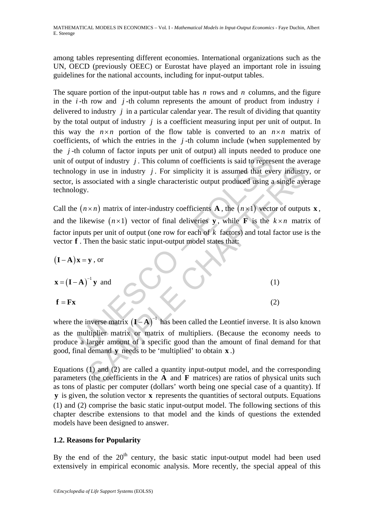among tables representing different economies. International organizations such as the UN, OECD (previously OEEC) or Eurostat have played an important role in issuing guidelines for the national accounts, including for input-output tables.

The square portion of the input-output table has *n* rows and *n* columns, and the figure in the *i* -th row and *j* -th column represents the amount of product from industry *i* delivered to industry *j* in a particular calendar year. The result of dividing that quantity by the total output of industry *j* is a coefficient measuring input per unit of output. In this way the  $n \times n$  portion of the flow table is converted to an  $n \times n$  matrix of coefficients, of which the entries in the *j* -th column include (when supplemented by the *j* -th column of factor inputs per unit of output) all inputs needed to produce one unit of output of industry *j*. This column of coefficients is said to represent the average technology in use in industry *j* . For simplicity it is assumed that every industry, or sector, is associated with a single characteristic output produced using a single average technology.

Call the  $(n \times n)$  matrix of inter-industry coefficients **A**, the  $(n \times 1)$  vector of outputs **x**, and the likewise  $(n \times 1)$  vector of final deliveries **y**, while **F** is the  $k \times n$  matrix of factor inputs per unit of output (one row for each of *k* factors) and total factor use is the vector **f** . Then the basic static input-output model states that:

\n- unit of output of industry *j*. This column of coefficients is said to represent the ave-  
technology in use in industry *j*. For simplicity it is assumed that every industry  
sector, is associated with a single characteristic output produced using a single ave-  
technology.
\n- Call the 
$$
(n \times n)
$$
 matrix of inter-industy coefficients **A**, the  $(n \times 1)$  vector of output  
and the likewise  $(n \times 1)$  vector of final deliveries **y**, while **F** is the  $k \times n$  matrix  
function inputs per unit of output (one row for each of *k* factors) and total factor use is  
vector **f**. Then the basic static input-output model states that:
\n- $(I - A)x = y$ , or
\n- $x = (I - A)^{-1}y$  and
\n- $f = Fx$
\n- $(2)$
\n- where the inverse matrix  $(I - A)^{-1}$  has been called the L*contief* inverse. It is also kn  
as the multiplier matrix or matrix of multipliers. (Because the economy need  
produce a larger amount of a specific good than the amount of final demand for  
good, final demand **y** needs to be 'multiplied' to obtain **x**.)
\n- Equations (1) and (2) are called a quantity input-output model, and the correspondence of this function is the **A** and **F** matrices are ratios of physical units.
\n

where the inverse matrix  $(I - A)^{-1}$  has been called the Leontief inverse. It is also known as the multiplier matrix or matrix of multipliers. (Because the economy needs to produce a larger amount of a specific good than the amount of final demand for that good, final demand **y** needs to be 'multiplied' to obtain **x** .)

Equations (1) and (2) are called a quantity input-output model, and the corresponding parameters (the coefficients in the **A** and **F** matrices) are ratios of physical units such as tons of plastic per computer (dollars' worth being one special case of a quantity). If **v** is given, the solution vector **x** represents the quantities of sectoral outputs. Equations (1) and (2) comprise the basic static input-output model. The following sections of this chapter describe extensions to that model and the kinds of questions the extended models have been designed to answer.

### **1.2. Reasons for Popularity**

By the end of the  $20<sup>th</sup>$  century, the basic static input-output model had been used extensively in empirical economic analysis. More recently, the special appeal of this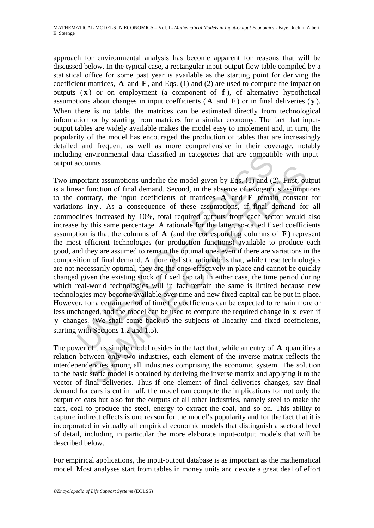approach for environmental analysis has become apparent for reasons that will be discussed below. In the typical case, a rectangular input-output flow table compiled by a statistical office for some past year is available as the starting point for deriving the coefficient matrices, **A** and **F** , and Eqs. (1) and (2) are used to compute the impact on outputs  $(x)$  or on employment (a component of  $f$ ), of alternative hypothetical assumptions about changes in input coefficients ( **A** and **F** ) or in final deliveries ( **y** ). When there is no table, the matrices can be estimated directly from technological information or by starting from matrices for a similar economy. The fact that inputoutput tables are widely available makes the model easy to implement and, in turn, the popularity of the model has encouraged the production of tables that are increasingly detailed and frequent as well as more comprehensive in their coverage, notably including environmental data classified in categories that are compatible with inputoutput accounts.

is environmental data classified in categories that are compattice<br>counts.<br>
supportant assumptions underlie the model given by Eqs. (1) and (2<br>
car function of final demand. Second, in the absence of exogeno<br>
contrary, the buns.<br>
Hot that assumptions underlie the model given by Eqs. (1) and (2). First, one<br>
function of final demand. Second, in the absence of exogenous assumpt<br>
thrary, the input coefficients of matrices  $\bf{A}$  and  $\bf{F}$  r Two important assumptions underlie the model given by Eqs. (1) and (2). First, output is a linear function of final demand. Second, in the absence of exogenous assumptions to the contrary, the input coefficients of matrices **A** and **F** remain constant for variations in **y**. As a consequence of these assumptions, if final demand for all commodities increased by 10%, total required outputs from each sector would also increase by this same percentage. A rationale for the latter, so-called fixed coefficients assumption is that the columns of **A** (and the corresponding columns of **F** ) represent the most efficient technologies (or production functions) available to produce each good, and they are assumed to remain the optimal ones even if there are variations in the composition of final demand. A more realistic rationale is that, while these technologies are not necessarily optimal, they are the ones effectively in place and cannot be quickly changed given the existing stock of fixed capital. In either case, the time period during which real-world technologies will in fact remain the same is limited because new technologies may become available over time and new fixed capital can be put in place. However, for a certain period of time the coefficients can be expected to remain more or less unchanged, and the model can be used to compute the required change in **x** even if **y** changes. (We shall come back to the subjects of linearity and fixed coefficients, starting with Sections 1.2 and 1.5).

The power of this simple model resides in the fact that, while an entry of **A** quantifies a relation between only two industries, each element of the inverse matrix reflects the interdependencies among all industries comprising the economic system. The solution to the basic static model is obtained by deriving the inverse matrix and applying it to the vector of final deliveries. Thus if one element of final deliveries changes, say final demand for cars is cut in half, the model can compute the implications for not only the output of cars but also for the outputs of all other industries, namely steel to make the cars, coal to produce the steel, energy to extract the coal, and so on. This ability to capture indirect effects is one reason for the model's popularity and for the fact that it is incorporated in virtually all empirical economic models that distinguish a sectoral level of detail, including in particular the more elaborate input-output models that will be described below.

For empirical applications, the input-output database is as important as the mathematical model. Most analyses start from tables in money units and devote a great deal of effort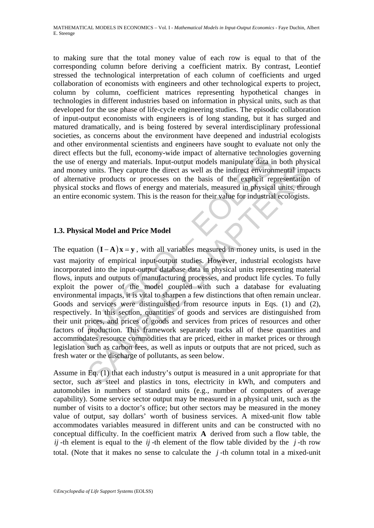to making sure that the total money value of each row is equal to that of the corresponding column before deriving a coefficient matrix. By contrast, Leontief stressed the technological interpretation of each column of coefficients and urged collaboration of economists with engineers and other technological experts to project, column by column, coefficient matrices representing hypothetical changes in technologies in different industries based on information in physical units, such as that developed for the use phase of life-cycle engineering studies. The episodic collaboration of input-output economists with engineers is of long standing, but it has surged and matured dramatically, and is being fostered by several interdisciplinary professional societies, as concerns about the environment have deepened and industrial ecologists and other environmental scientists and engineers have sought to evaluate not only the direct effects but the full, economy-wide impact of alternative technologies governing the use of energy and materials. Input-output models manipulate data in both physical and money units. They capture the direct as well as the indirect environmental impacts of alternative products or processes on the basis of the explicit representation of physical stocks and flows of energy and materials, measured in physical units, through an entire economic system. This is the reason for their value for industrial ecologists.

### **1.3. Physical Model and Price Model**

FreeLs out the function of energy and materials. Input-output models manipulate data in<br>or energy and materials. Input-output models manipulate data in<br>eventic products or processes on the basis of the explicit represent<br> units. They capture the direct as well as the indirect environmental implive products or processes on the basis of the explicit representation ocks and flows of energy and materials, measured in physical units, thromomic The equation  $(I - A)x = y$ , with all variables measured in money units, is used in the vast majority of empirical input-output studies. However, industrial ecologists have incorporated into the input-output database data in physical units representing material flows, inputs and outputs of manufacturing processes, and product life cycles. To fully exploit the power of the model coupled with such a database for evaluating environmental impacts, it is vital to sharpen a few distinctions that often remain unclear. Goods and services were distinguished from resource inputs in Eqs. (1) and (2), respectively. In this section, quantities of goods and services are distinguished from their unit prices, and prices of goods and services from prices of resources and other factors of production. This framework separately tracks all of these quantities and accommodates resource commodities that are priced, either in market prices or through legislation such as carbon fees, as well as inputs or outputs that are not priced, such as fresh water or the discharge of pollutants, as seen below.

Assume in Eq. (1) that each industry's output is measured in a unit appropriate for that sector, such as steel and plastics in tons, electricity in kWh, and computers and automobiles in numbers of standard units (e.g., number of computers of average capability). Some service sector output may be measured in a physical unit, such as the number of visits to a doctor's office; but other sectors may be measured in the money value of output, say dollars' worth of business services. A mixed-unit flow table accommodates variables measured in different units and can be constructed with no conceptual difficulty. In the coefficient matrix **A** derived from such a flow table, the *ij* -th element is equal to the *ij* -th element of the flow table divided by the *j* -th row total. (Note that it makes no sense to calculate the  $j$ -th column total in a mixed-unit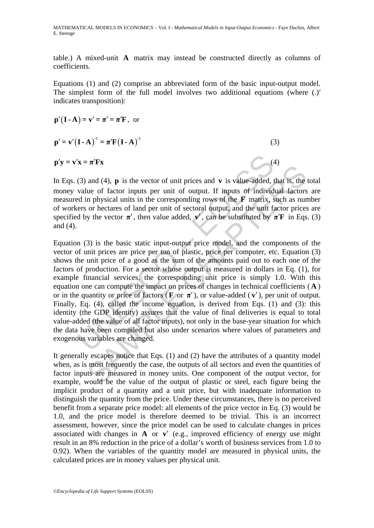MATHEMATICAL MODELS IN ECONOMICS – Vol. I - *Mathematical Models in Input-Output Economics* - Faye Duchin, Albert E. Steenge

table.) A mixed-unit **A** matrix may instead be constructed directly as columns of coefficients.

Equations (1) and (2) comprise an abbreviated form of the basic input-output model. The simplest form of the full model involves two additional equations (where (.)′ indicates transposition):

$$
\mathbf{p}'(\mathbf{I} \cdot \mathbf{A}) = \mathbf{v}' = \boldsymbol{\pi}' = \boldsymbol{\pi}' \mathbf{F}, \text{ or}
$$

$$
\mathbf{p}' = \mathbf{v}' (\mathbf{I} \cdot \mathbf{A})^{-1} = \boldsymbol{\pi}' \mathbf{F} (\mathbf{I} \cdot \mathbf{A})^{-1}
$$
 (3)

 $\mathbf{p}'\mathbf{v} = \mathbf{v}'\mathbf{x} = \boldsymbol{\pi}'\mathbf{F}\mathbf{x}$  (4)

In Eqs. (3) and (4), **p** is the vector of unit prices and **v** is value-added, that is, the total money value of factor inputs per unit of output. If inputs of individual factors are measured in physical units in the corresponding rows of the **F** matrix, such as number of workers or hectares of land per unit of sectoral output, and the unit factor prices are specified by the vector  $\pi'$ , then value added,  $\mathbf{v}'$ , can be substituted by  $\pi'$ **F** in Eqs. (3) and (4).

 $x = \pi^T F x$ <br>(3) and (4), **p** is the vector of unit prices and **v** is value-added, t<br>value of factor inputs per unit of output. If inputs of individ<br>ed in physical units in the corresponding rows of the **F** matrix, s<br>ers or and (4), **p** is the vector of unit prices and **v** is value-added, that is, the ue of factor inputs in the corresponding rows of the **F** matrix, such as num optycical units in the corresponding rows of the **F** matrix, such Equation (3) is the basic static input-output price model, and the components of the vector of unit prices are price per ton of plastic, price per computer, etc. Equation (3) shows the unit price of a good as the sum of the amounts paid out to each one of the factors of production. For a sector whose output is measured in dollars in Eq. (1), for example financial services, the corresponding unit price is simply 1.0. With this equation one can compute the impact on prices of changes in technical coefficients ( **A** ) or in the quantity or price of factors ( $\bf{F}$  or  $\bf{\pi}'$ ), or value-added ( $\bf{v}'$ ), per unit of output. Finally, Eq. (4), called the income equation, is derived from Eqs. (1) and (3): this identity (the GDP identity) assures that the value of final deliveries is equal to total value-added (the value of all factor inputs), not only in the base-year situation for which the data have been compiled but also under scenarios where values of parameters and exogenous variables are changed.

It generally escapes notice that Eqs. (1) and (2) have the attributes of a quantity model when, as is most frequently the case, the outputs of all sectors and even the quantities of factor inputs are measured in money units. One component of the output vector, for example, would be the value of the output of plastic or steel, each figure being the implicit product of a quantity and a unit price, but with inadequate information to distinguish the quantity from the price. Under these circumstances, there is no perceived benefit from a separate price model: all elements of the price vector in Eq. (3) would be 1.0, and the price model is therefore deemed to be trivial. This is an incorrect assessment, however, since the price model can be used to calculate changes in prices associated with changes in **A** or **v**′ (e.g., improved efficiency of energy use might result in an 8% reduction in the price of a dollar's worth of business services from 1.0 to 0.92). When the variables of the quantity model are measured in physical units, the calculated prices are in money values per physical unit.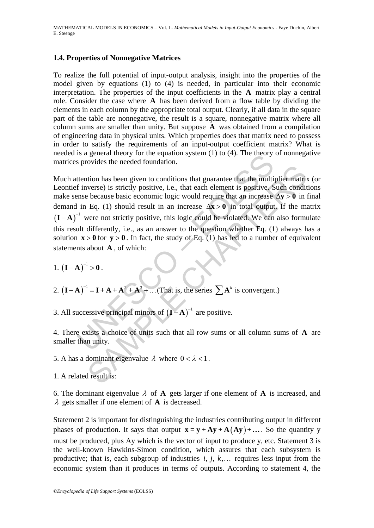### **1.4. Properties of Nonnegative Matrices**

To realize the full potential of input-output analysis, insight into the properties of the model given by equations (1) to (4) is needed, in particular into their economic interpretation. The properties of the input coefficients in the **A** matrix play a central role. Consider the case where **A** has been derived from a flow table by dividing the elements in each column by the appropriate total output. Clearly, if all data in the square part of the table are nonnegative, the result is a square, nonnegative matrix where all column sums are smaller than unity. But suppose **A** was obtained from a compilation of engineering data in physical units. Which properties does that matrix need to possess in order to satisfy the requirements of an input-output coefficient matrix? What is needed is a general theory for the equation system (1) to (4). The theory of nonnegative matrices provides the needed foundation.

is a general theory for the equation system (1) to (4). The theory<br>s provides the needed foundation.<br>tention has been given to conditions that guarantee that the multi<br>f inverse) is strictly positive, i.e., that each elem From has been given to conditions that guarantee that the multiplier matricular behaves is strictly positive, i.e., that each element is positive. Such conditions because basic economic logic would require that an increas Much attention has been given to conditions that guarantee that the multiplier matrix (or Leontief inverse) is strictly positive, i.e., that each element is positive. Such conditions make sense because basic economic logic would require that an increase  $\Delta v > 0$  in final demand in Eq. (1) should result in an increase  $\Delta x > 0$  in total output. If the matrix  $(I - A)^{-1}$  were not strictly positive, this logic could be violated. We can also formulate this result differently, i.e., as an answer to the question whether Eq. (1) always has a solution  $\mathbf{x} > 0$  for  $\mathbf{y} > 0$ . In fact, the study of Eq. (1) has led to a number of equivalent statements about **A** , of which:

1.  $(I - A)^{-1} > 0$ .

2. 
$$
(I - A)^{-1} = I + A + A^2 + A^3 + ...
$$
 (That is, the series  $\sum A^k$  is convergent.)

3. All successive principal minors of  $(I - A)^{-1}$  are positive.

4. There exists a choice of units such that all row sums or all column sums of **A** are smaller than unity.

- 5. A has a dominant eigenvalue  $\lambda$  where  $0 < \lambda < 1$ .
- 1. A related result is:

6. The dominant eigenvalue  $\lambda$  of **A** gets larger if one element of **A** is increased, and λ gets smaller if one element of **A** is decreased.

Statement 2 is important for distinguishing the industries contributing output in different phases of production. It says that output  $\mathbf{x} = \mathbf{y} + \mathbf{A}\mathbf{y} + \mathbf{A}(\mathbf{A}\mathbf{y}) + \dots$ . So the quantity y must be produced, plus Ay which is the vector of input to produce y, etc. Statement 3 is the well-known Hawkins-Simon condition, which assures that each subsystem is productive; that is, each subgroup of industries  $i, j, k, \ldots$  requires less input from the economic system than it produces in terms of outputs. According to statement 4, the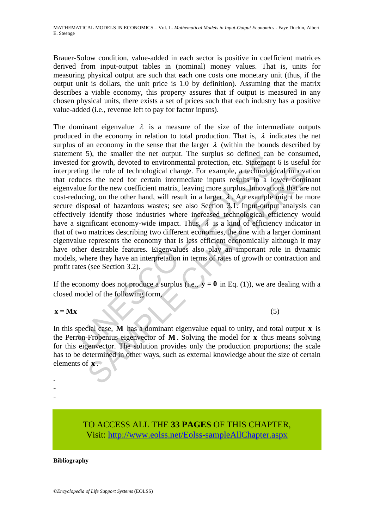Brauer-Solow condition, value-added in each sector is positive in coefficient matrices derived from input-output tables in (nominal) money values. That is, units for measuring physical output are such that each one costs one monetary unit (thus, if the output unit is dollars, the unit price is 1.0 by definition). Assuming that the matrix describes a viable economy, this property assures that if output is measured in any chosen physical units, there exists a set of prices such that each industry has a positive value-added (i.e., revenue left to pay for factor inputs).

In 3), the smaller the net output. The surplus so defined can<br>for growth, devoted to environmental protection, etc. Statement<br>ting the role of technological change. For example, a technolog<br>duces the need for certain inte g the role of technological change. For example, a technological innovation of the section of the need for certain intermediate inputs results in a lower dominary for the new coefficient matrix, leaving more surplus. Imov The dominant eigenvalue  $\lambda$  is a measure of the size of the intermediate outputs produced in the economy in relation to total production. That is,  $\lambda$  indicates the net surplus of an economy in the sense that the larger  $\lambda$  (within the bounds described by statement 5), the smaller the net output. The surplus so defined can be consumed, invested for growth, devoted to environmental protection, etc. Statement 6 is useful for interpreting the role of technological change. For example, a technological innovation that reduces the need for certain intermediate inputs results in a lower dominant eigenvalue for the new coefficient matrix, leaving more surplus. Innovations that are not cost-reducing, on the other hand, will result in a larger  $\lambda$ . An example might be more secure disposal of hazardous wastes; see also Section 3.1. Input-output analysis can effectively identify those industries where increased technological efficiency would have a significant economy-wide impact. Thus,  $\lambda$  is a kind of efficiency indicator in that of two matrices describing two different economies, the one with a larger dominant eigenvalue represents the economy that is less efficient economically although it may have other desirable features. Eigenvalues also play an important role in dynamic models, where they have an interpretation in terms of rates of growth or contraction and profit rates (see Section 3.2).

If the economy does not produce a surplus (i.e.,  $\mathbf{y} = \mathbf{0}$  in Eq. (1)), we are dealing with a closed model of the following form,

### $x = Mx$  (5)

In this special case, **M** has a dominant eigenvalue equal to unity, and total output **x** is the Perron-Frobenius eigenvector of **M** . Solving the model for **x** thus means solving for this eigenvector. The solution provides only the production proportions; the scale has to be determined in other ways, such as external knowledge about the size of certain elements of **x** .

- -

-

TO ACCESS ALL THE **33 PAGES** OF THIS CHAPTER, Visit: [http://www.eolss.net/Eolss-sampleAllChapter.aspx](https://www.eolss.net/ebooklib/sc_cart.aspx?File=E6-154-02-00)

#### **Bibliography**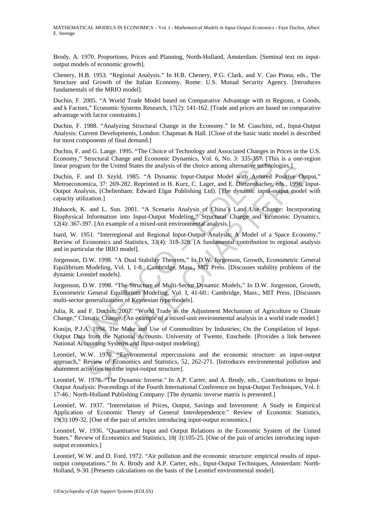Brody, A. 1970. Proportions, Prices and Planning, North-Holland, Amsterdam. [Seminal text on inputoutput models of economic growth].

Chenery, H.B. 1953. "Regional Analysis." In H.B. Chenery, P.G. Clark, and V. Cao Pinna, eds., The Structure and Growth of the Italian Economy, Rome: U.S. Mutual Security Agency. [Introduces fundamentals of the MRIO model].

Duchin, F. 2005. "A World Trade Model based on Comparative Advantage with m Regions, n Goods, and k Factors," Economic Systems Research, 17(2): 141-162. [Trade and prices are based on comparative advantage with factor constraints.]

Duchin, F. 1988. "Analyzing Structural Change in the Economy." In M. Ciaschini, ed., Input-Output Analysis: Current Developments, London: Chapman & Hall. [Close of the basic static model is described for most components of final demand.]

Duchin, F. and G. Lange. 1995. "The Choice of Technology and Associated Changes in Prices in the U.S. Economy," Structural Change and Economic Dynamics, Vol. 6, No. 3: 335-357. [This is a one-region linear program for the United States the analysis of the choice among alternative technologies.]

<sup>1</sup>," Structural Change and Economic Dynamics, Vol. 6, No. 3: 335-357. [The gram for the United States the analysis of the choice among alternative technol<br>F. and D. Szyld. 1985. "A Dynamic Input-Output Model with Assured<br> m for the United States the analysis of the choice among alternative technologies.]<br>
and D. Szyld. 1985. "A Dynamic Input-Output Model with Assured Positive-<br>
Direct, 37: 269-282. Reprinted in H. Kurz, C. Lager, and E. Die Duchin, F. and D. Szyld. 1985. "A Dynamic Input-Output Model with Assured Positive Output," Metroeconomica, 37: 269-282. Reprinted in H. Kurz, C. Lager, and E. Dietzenbacher, eds., 1998, Input-Output Analysis, (Cheltenham: Edward Elgar Publishing Ltd). [The dynamic input-output model with capacity utilization.]

Hubacek, K. and L. Sun. 2001. "A Scenario Analysis of China's Land Use Change: Incorporating Biophysical Information into Input-Output Modeling," Structural Change and Economic Dynamics, 12(4): 367-397. [An example of a mixed-unit environmental analysis.]

Isard, W. 1951. "Interregional and Regional Input-Output Analysis: A Model of a Space Economy," Review of Economics and Statistics, 33(4): 318-328. [A fundamental contribution to regional analysis and in particular the IRIO model].

Jorgenson, D.W. 1998. "A Dual Stability Theorem," In D.W. Jorgenson, Growth, Econometric General Equilibrium Modeling, Vol. I, 1-8.: Cambridge, Mass., MIT Press. [Discusses stability problems of the dynamic Leontief models].

Jorgenson, D.W. 1998. "The Structure of Multi-Sector Dynamic Models," In D.W. Jorgenson, Growth, Econometric General Equilibrium Modeling, Vol. I, 41-60.: Cambridge, Mass., MIT Press. [Discusses multi-sector generalizations of Keynesian type models].

Julia, R. and F. Duchin. 2007. "World Trade as the Adjustment Mechanism of Agriculture to Climate Change," Climatic Change. [An example of a mixed-unit environmental analysis in a world trade model.]

Konijn, P.J.A. 1994. The Make and Use of Commodities by Industries; On the Compilation of Input-Output Data from the National Accounts. University of Twente, Enschede. [Provides a link between National Accounting Systems and input-output modeling].

Leontief, W.W. 1970. "Environmental repercussions and the economic structure: an input-output approach," Review of Economics and Statistics, 52, 262-271. [Introduces environmental pollution and abatement activities into the input-output structure].

Leontief, W. 1970. "The Dynamic Inverse." In A.P. Carter, and A. Brody, eds., Contributions to Input-Output Analysis: Proceedings of the Fourth International Conference on Input-Output Techniques, Vol. I: 17-46.: North-Holland Publishing Company. [The dynamic inverse matrix is presented.]

Leontief, W. 1937. "Interrelation of Prices, Output, Savings and Investment: A Study in Empirical Application of Economic Theory of General Interdependence." Review of Economic Statistics, 19(3):109-32. [One of the pair of articles introducing input-output economics.]

Leontief, W. 1936. "Quantitative Input and Output Relations in the Economic System of the United States." Review of Economics and Statistics, 18( 3):105-25. [One of the pair of articles introducing inputoutput economics.]

Leontief, W.W. and D. Ford. 1972. "Air pollution and the economic structure: empirical results of inputoutput computations." In A. Brody and A.P. Carter, eds., Input-Output Techniques, Amsterdam: North-Holland, 9-30. [Presents calculations on the basis of the Leontief environmental model].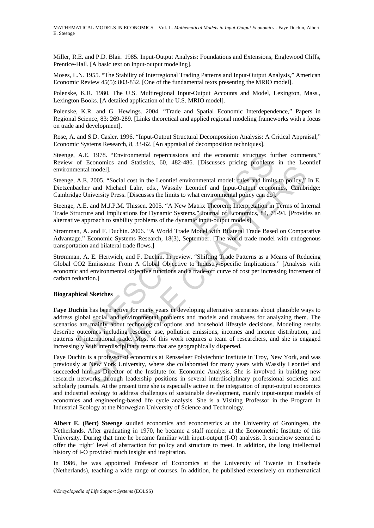MATHEMATICAL MODELS IN ECONOMICS – Vol. I - *Mathematical Models in Input-Output Economics* - Faye Duchin, Albert E. Steenge

Miller, R.E. and P.D. Blair. 1985. Input-Output Analysis: Foundations and Extensions, Englewood Cliffs, Prentice-Hall. [A basic text on input-output modeling].

Moses, L.N. 1955. "The Stability of Interregional Trading Patterns and Input-Output Analysis," American Economic Review 45(5): 803-832. [One of the fundamental texts presenting the MRIO model].

Polenske, K.R. 1980. The U.S. Multiregional Input-Output Accounts and Model, Lexington, Mass., Lexington Books. [A detailed application of the U.S. MRIO model].

Polenske, K.R. and G. Hewings. 2004. "Trade and Spatial Economic Interdependence," Papers in Regional Science, 83: 269-289. [Links theoretical and applied regional modeling frameworks with a focus on trade and development].

Rose, A. and S.D. Casler. 1996. "Input-Output Structural Decomposition Analysis: A Critical Appraisal," Economic Systems Research, 8, 33-62. [An appraisal of decomposition techniques].

Steenge, A.E. 1978. "Environmental repercussions and the economic structure: further comments," Review of Economics and Statistics, 60, 482-486. [Discusses pricing problems in the Leontief environmental model].

Steenge, A.E. 2005. "Social cost in the Leontief environmental model: rules and limits to policy," In E. Dietzenbacher and Michael Lahr, eds., Wassily Leontief and Input-Output economics, Cambridge: Cambridge University Press. [Discusses the limits to what environmental policy can do].

Steenge, A.E. and M.J.P.M. Thissen. 2005. "A New Matrix Theorem: Interpretation in Terms of Internal Trade Structure and Implications for Dynamic Systems." Journal of Economics, 84, 71-94. [Provides an alternative approach to stability problems of the dynamic input-output models].

Strømman, A. and F. Duchin. 2006. "A World Trade Model with Bilateral Trade Based on Comparative Advantage." Economic Systems Research, 18(3), September. [The world trade model with endogenous transportation and bilateral trade flows.]

Strømman, A. E. Hertwich, and F. Duchin. In review. "Shifting Trade Patterns as a Means of Reducing Global CO2 Emissions: From A Global Objective to Industry-Specific Implications." [Analysis with economic and environmental objective functions and a trade-off curve of cost per increasing increment of carbon reduction.]

#### **Biographical Sketches**

A.E. 1978. "Environmental repercussions and the economic structure: functions and Statistics, 60, 482-486. [Discusses pricing problems eneral model].<br>
A.E. 2005. "Social cost in the Leontief environmental model: rules and Constraints and Shakes and Shakes and Shakes and The Theorem and Thomas Shakes and Innits to policy,"<br>In an Infodel]. The Lostin contribution and Input-Output Cause and Institute Term and M.D.P.M. Thissen. 2005. "A New Mat **Faye Duchin** has been active for many years in developing alternative scenarios about plausible ways to address global social and environmental problems and models and databases for analyzing them. The scenarios are mainly about technological options and household lifestyle decisions. Modeling results describe outcomes including resource use, pollution emissions, incomes and income distribution, and patterns of international trade. Most of this work requires a team of researchers, and she is engaged increasingly with interdisciplinary teams that are geographically dispersed.

Faye Duchin is a professor of economics at Rensselaer Polytechnic Institute in Troy, New York, and was previously at New York University, where she collaborated for many years with Wassily Leontief and succeeded him as Director of the Institute for Economic Analysis. She is involved in building new research networks through leadership positions in several interdisciplinary professional societies and scholarly journals. At the present time she is especially active in the integration of input-output economics and industrial ecology to address challenges of sustainable development, mainly input-output models of economies and engineering-based life cycle analysis. She is a Visiting Professor in the Program in Industrial Ecology at the Norwegian University of Science and Technology.

**Albert E. (Bert) Steenge** studied economics and econometrics at the University of Groningen, the Netherlands. After graduating in 1970, he became a staff member at the Econometric Institute of this University. During that time he became familiar with input-output (I-O) analysis. It somehow seemed to offer the 'right' level of abstraction for policy and structure to meet. In addition, the long intellectual history of I-O provided much insight and inspiration.

In 1986, he was appointed Professor of Economics at the University of Twente in Enschede (Netherlands), teaching a wide range of courses. In addition, he published extensively on mathematical